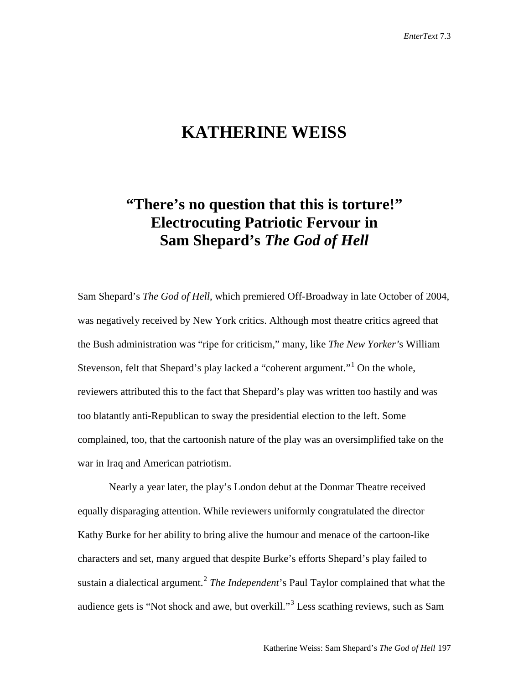## **KATHERINE WEISS**

## **"There's no question that this is torture!" Electrocuting Patriotic Fervour in Sam Shepard's** *The God of Hell*

Sam Shepard's *The God of Hell*, which premiered Off-Broadway in late October of 2004, was negatively received by New York critics. Although most theatre critics agreed that the Bush administration was "ripe for criticism," many, like *The New Yorker'*s William Stevenson, felt that Shepard's play lacked a "coherent argument."[1](#page-9-0) On the whole, reviewers attributed this to the fact that Shepard's play was written too hastily and was too blatantly anti-Republican to sway the presidential election to the left. Some complained, too, that the cartoonish nature of the play was an oversimplified take on the war in Iraq and American patriotism.

Nearly a year later, the play's London debut at the Donmar Theatre received equally disparaging attention. While reviewers uniformly congratulated the director Kathy Burke for her ability to bring alive the humour and menace of the cartoon-like characters and set, many argued that despite Burke's efforts Shepard's play failed to sustain a dialectical argument. [2](#page-9-1) *The Independent*'s Paul Taylor complained that what the audience gets is "Not shock and awe, but overkill."[3](#page-9-2) Less scathing reviews, such as Sam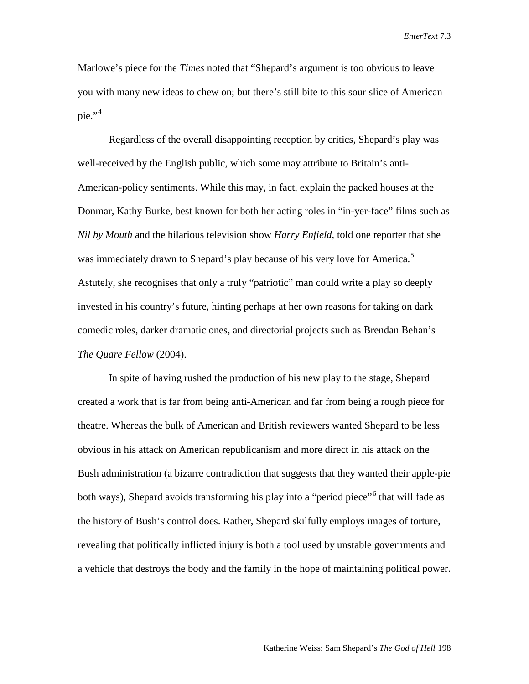Marlowe's piece for the *Times* noted that "Shepard's argument is too obvious to leave you with many new ideas to chew on; but there's still bite to this sour slice of American pie." $4$ 

Regardless of the overall disappointing reception by critics, Shepard's play was well-received by the English public, which some may attribute to Britain's anti-American-policy sentiments. While this may, in fact, explain the packed houses at the Donmar, Kathy Burke, best known for both her acting roles in "in-yer-face" films such as *Nil by Mouth* and the hilarious television show *Harry Enfield*, told one reporter that she was immediately drawn to Shepard's play because of his very love for America.<sup>[5](#page-9-4)</sup> Astutely, she recognises that only a truly "patriotic" man could write a play so deeply invested in his country's future, hinting perhaps at her own reasons for taking on dark comedic roles, darker dramatic ones, and directorial projects such as Brendan Behan's *The Quare Fellow* (2004).

In spite of having rushed the production of his new play to the stage, Shepard created a work that is far from being anti-American and far from being a rough piece for theatre. Whereas the bulk of American and British reviewers wanted Shepard to be less obvious in his attack on American republicanism and more direct in his attack on the Bush administration (a bizarre contradiction that suggests that they wanted their apple-pie both ways), Shepard avoids transforming his play into a "period piece"<sup>[6](#page-9-5)</sup> that will fade as the history of Bush's control does. Rather, Shepard skilfully employs images of torture, revealing that politically inflicted injury is both a tool used by unstable governments and a vehicle that destroys the body and the family in the hope of maintaining political power.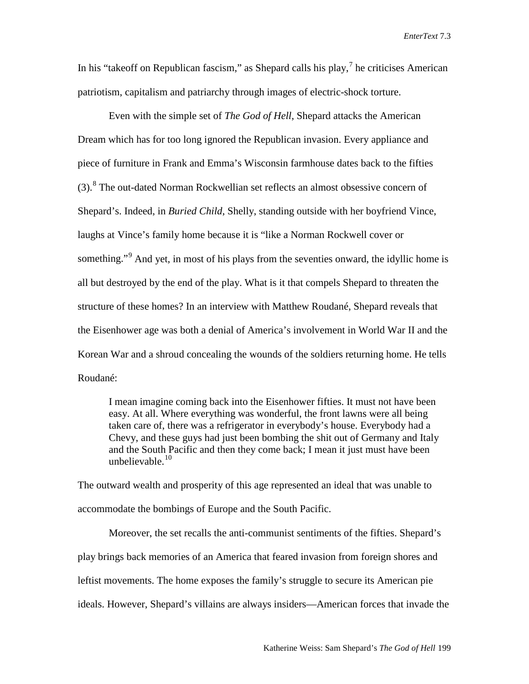In his "takeoff on Republican fascism," as Shepard calls his play, $^7$  $^7$  he criticises American patriotism, capitalism and patriarchy through images of electric-shock torture.

Even with the simple set of *The God of Hell*, Shepard attacks the American Dream which has for too long ignored the Republican invasion. Every appliance and piece of furniture in Frank and Emma's Wisconsin farmhouse dates back to the fifties  $(3)$ .<sup>[8](#page-9-7)</sup> The out-dated Norman Rockwellian set reflects an almost obsessive concern of Shepard's. Indeed, in *Buried Child*, Shelly, standing outside with her boyfriend Vince, laughs at Vince's family home because it is "like a Norman Rockwell cover or something."<sup>[9](#page-9-8)</sup> And yet, in most of his plays from the seventies onward, the idyllic home is all but destroyed by the end of the play. What is it that compels Shepard to threaten the structure of these homes? In an interview with Matthew Roudané, Shepard reveals that the Eisenhower age was both a denial of America's involvement in World War II and the Korean War and a shroud concealing the wounds of the soldiers returning home. He tells Roudané:

I mean imagine coming back into the Eisenhower fifties. It must not have been easy. At all. Where everything was wonderful, the front lawns were all being taken care of, there was a refrigerator in everybody's house. Everybody had a Chevy, and these guys had just been bombing the shit out of Germany and Italy and the South Pacific and then they come back; I mean it just must have been unbelievable. [10](#page-9-9)

The outward wealth and prosperity of this age represented an ideal that was unable to accommodate the bombings of Europe and the South Pacific.

Moreover, the set recalls the anti-communist sentiments of the fifties. Shepard's play brings back memories of an America that feared invasion from foreign shores and leftist movements. The home exposes the family's struggle to secure its American pie ideals. However, Shepard's villains are always insiders—American forces that invade the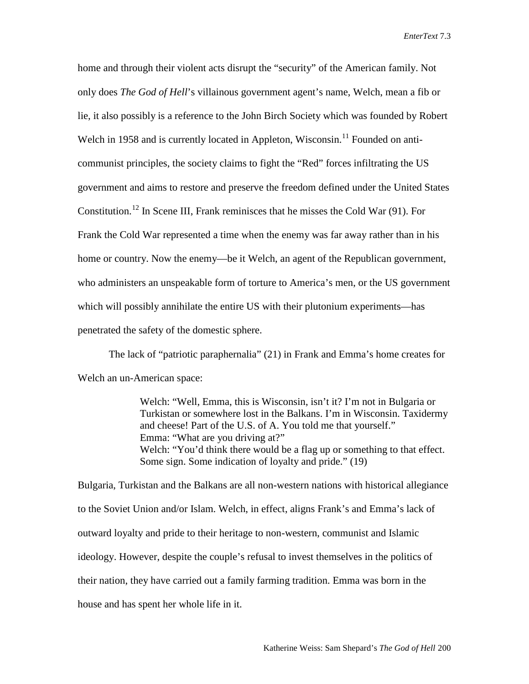home and through their violent acts disrupt the "security" of the American family. Not only does *The God of Hell*'s villainous government agent's name, Welch, mean a fib or lie, it also possibly is a reference to the John Birch Society which was founded by Robert Welch in 1958 and is currently located in Appleton, Wisconsin.<sup>[11](#page-9-10)</sup> Founded on anticommunist principles, the society claims to fight the "Red" forces infiltrating the US government and aims to restore and preserve the freedom defined under the United States Constitution.<sup>[12](#page-9-11)</sup> In Scene III, Frank reminisces that he misses the Cold War  $(91)$ . For Frank the Cold War represented a time when the enemy was far away rather than in his home or country. Now the enemy—be it Welch, an agent of the Republican government, who administers an unspeakable form of torture to America's men, or the US government which will possibly annihilate the entire US with their plutonium experiments—has penetrated the safety of the domestic sphere.

The lack of "patriotic paraphernalia" (21) in Frank and Emma's home creates for Welch an un-American space:

> Welch: "Well, Emma, this is Wisconsin, isn't it? I'm not in Bulgaria or Turkistan or somewhere lost in the Balkans. I'm in Wisconsin. Taxidermy and cheese! Part of the U.S. of A. You told me that yourself." Emma: "What are you driving at?" Welch: "You'd think there would be a flag up or something to that effect. Some sign. Some indication of loyalty and pride." (19)

Bulgaria, Turkistan and the Balkans are all non-western nations with historical allegiance to the Soviet Union and/or Islam. Welch, in effect, aligns Frank's and Emma's lack of outward loyalty and pride to their heritage to non-western, communist and Islamic ideology. However, despite the couple's refusal to invest themselves in the politics of their nation, they have carried out a family farming tradition. Emma was born in the house and has spent her whole life in it.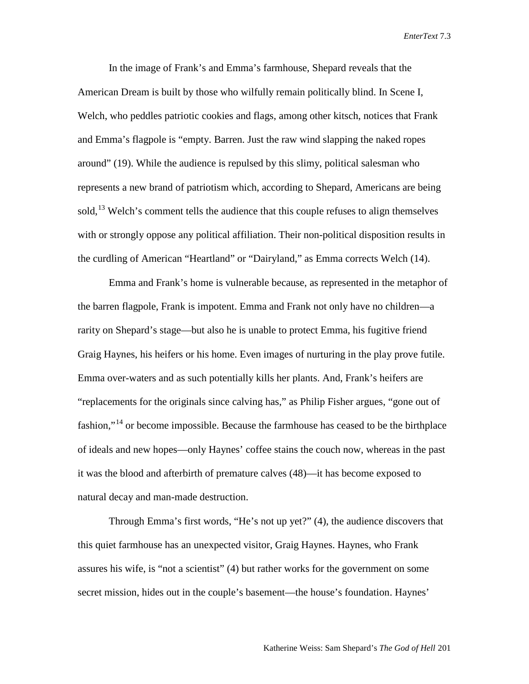In the image of Frank's and Emma's farmhouse, Shepard reveals that the American Dream is built by those who wilfully remain politically blind. In Scene I, Welch, who peddles patriotic cookies and flags, among other kitsch, notices that Frank and Emma's flagpole is "empty. Barren. Just the raw wind slapping the naked ropes around" (19). While the audience is repulsed by this slimy, political salesman who represents a new brand of patriotism which, according to Shepard, Americans are being sold,  $^{13}$  $^{13}$  $^{13}$  Welch's comment tells the audience that this couple refuses to align themselves with or strongly oppose any political affiliation. Their non-political disposition results in the curdling of American "Heartland" or "Dairyland," as Emma corrects Welch (14).

Emma and Frank's home is vulnerable because, as represented in the metaphor of the barren flagpole, Frank is impotent. Emma and Frank not only have no children—a rarity on Shepard's stage—but also he is unable to protect Emma, his fugitive friend Graig Haynes, his heifers or his home. Even images of nurturing in the play prove futile. Emma over-waters and as such potentially kills her plants. And, Frank's heifers are "replacements for the originals since calving has," as Philip Fisher argues, "gone out of fashion,"[14](#page-9-13) or become impossible. Because the farmhouse has ceased to be the birthplace of ideals and new hopes—only Haynes' coffee stains the couch now, whereas in the past it was the blood and afterbirth of premature calves (48)—it has become exposed to natural decay and man-made destruction.

Through Emma's first words, "He's not up yet?" (4), the audience discovers that this quiet farmhouse has an unexpected visitor, Graig Haynes. Haynes, who Frank assures his wife, is "not a scientist" (4) but rather works for the government on some secret mission, hides out in the couple's basement—the house's foundation. Haynes'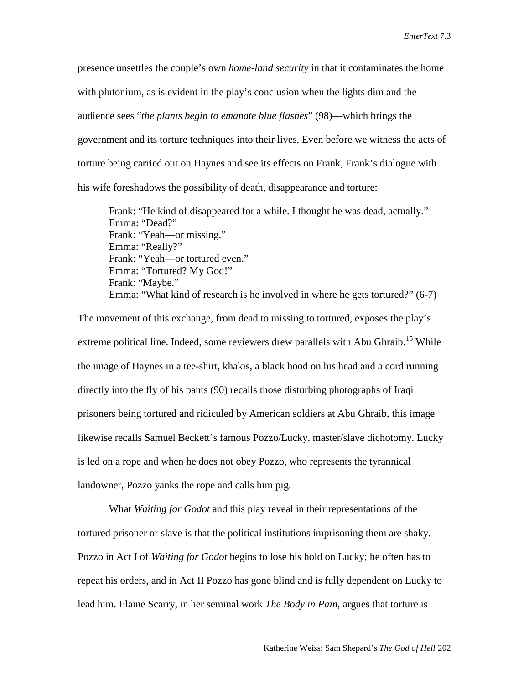presence unsettles the couple's own *home-land security* in that it contaminates the home with plutonium, as is evident in the play's conclusion when the lights dim and the audience sees "*the plants begin to emanate blue flashes*" (98)—which brings the government and its torture techniques into their lives. Even before we witness the acts of torture being carried out on Haynes and see its effects on Frank, Frank's dialogue with his wife foreshadows the possibility of death, disappearance and torture:

Frank: "He kind of disappeared for a while. I thought he was dead, actually." Emma: "Dead?" Frank: "Yeah—or missing." Emma: "Really?" Frank: "Yeah—or tortured even." Emma: "Tortured? My God!" Frank: "Maybe." Emma: "What kind of research is he involved in where he gets tortured?" (6-7)

The movement of this exchange, from dead to missing to tortured, exposes the play's extreme political line. Indeed, some reviewers drew parallels with Abu Ghraib.<sup>[15](#page-9-14)</sup> While the image of Haynes in a tee-shirt, khakis, a black hood on his head and a cord running directly into the fly of his pants (90) recalls those disturbing photographs of Iraqi prisoners being tortured and ridiculed by American soldiers at Abu Ghraib, this image likewise recalls Samuel Beckett's famous Pozzo/Lucky, master/slave dichotomy. Lucky is led on a rope and when he does not obey Pozzo, who represents the tyrannical landowner, Pozzo yanks the rope and calls him pig.

What *Waiting for Godot* and this play reveal in their representations of the tortured prisoner or slave is that the political institutions imprisoning them are shaky. Pozzo in Act I of *Waiting for Godot* begins to lose his hold on Lucky; he often has to repeat his orders, and in Act II Pozzo has gone blind and is fully dependent on Lucky to lead him. Elaine Scarry, in her seminal work *The Body in Pain*, argues that torture is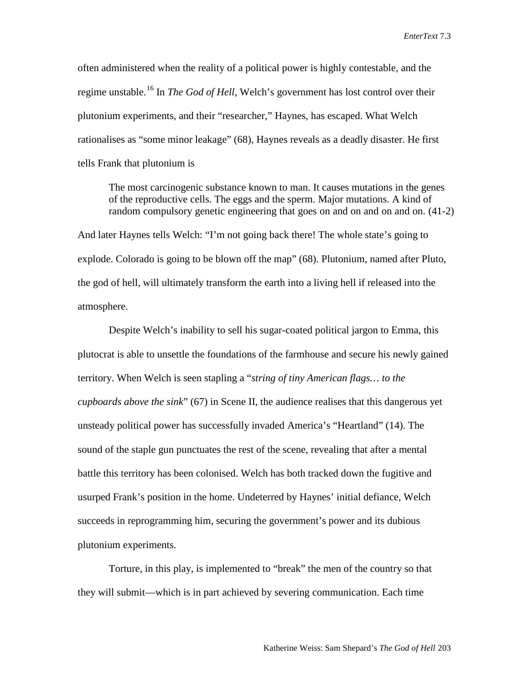often administered when the reality of a political power is highly contestable, and the regime unstable. [16](#page-9-15) In *The God of Hell*, Welch's government has lost control over their plutonium experiments, and their "researcher," Haynes, has escaped. What Welch rationalises as "some minor leakage" (68), Haynes reveals as a deadly disaster. He first tells Frank that plutonium is

The most carcinogenic substance known to man. It causes mutations in the genes of the reproductive cells. The eggs and the sperm. Major mutations. A kind of random compulsory genetic engineering that goes on and on and on and on. (41-2)

And later Haynes tells Welch: "I'm not going back there! The whole state's going to explode. Colorado is going to be blown off the map" (68). Plutonium, named after Pluto, the god of hell, will ultimately transform the earth into a living hell if released into the atmosphere.

Despite Welch's inability to sell his sugar-coated political jargon to Emma, this plutocrat is able to unsettle the foundations of the farmhouse and secure his newly gained territory. When Welch is seen stapling a "*string of tiny American flags… to the cupboards above the sink*" (67) in Scene II, the audience realises that this dangerous yet unsteady political power has successfully invaded America's "Heartland" (14). The sound of the staple gun punctuates the rest of the scene, revealing that after a mental battle this territory has been colonised. Welch has both tracked down the fugitive and usurped Frank's position in the home. Undeterred by Haynes' initial defiance, Welch succeeds in reprogramming him, securing the government's power and its dubious plutonium experiments.

Torture, in this play, is implemented to "break" the men of the country so that they will submit—which is in part achieved by severing communication. Each time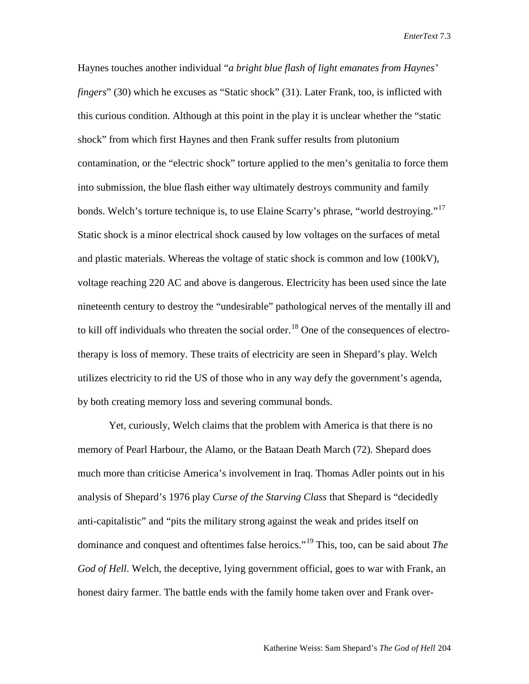Haynes touches another individual "*a bright blue flash of light emanates from Haynes' fingers*" (30) which he excuses as "Static shock" (31). Later Frank, too, is inflicted with this curious condition. Although at this point in the play it is unclear whether the "static shock" from which first Haynes and then Frank suffer results from plutonium contamination, or the "electric shock" torture applied to the men's genitalia to force them into submission, the blue flash either way ultimately destroys community and family bonds. Welch's torture technique is, to use Elaine Scarry's phrase, "world destroying."<sup>[17](#page-9-16)</sup> Static shock is a minor electrical shock caused by low voltages on the surfaces of metal and plastic materials. Whereas the voltage of static shock is common and low (100kV), voltage reaching 220 AC and above is dangerous. Electricity has been used since the late nineteenth century to destroy the "undesirable" pathological nerves of the mentally ill and to kill off individuals who threaten the social order.<sup>[18](#page-9-17)</sup> One of the consequences of electrotherapy is loss of memory. These traits of electricity are seen in Shepard's play. Welch utilizes electricity to rid the US of those who in any way defy the government's agenda, by both creating memory loss and severing communal bonds.

Yet, curiously, Welch claims that the problem with America is that there is no memory of Pearl Harbour, the Alamo, or the Bataan Death March (72). Shepard does much more than criticise America's involvement in Iraq. Thomas Adler points out in his analysis of Shepard's 1976 play *Curse of the Starving Class* that Shepard is "decidedly anti-capitalistic" and "pits the military strong against the weak and prides itself on dominance and conquest and oftentimes false heroics."[19](#page-9-18) This, too, can be said about *The God of Hell*. Welch, the deceptive, lying government official, goes to war with Frank, an honest dairy farmer. The battle ends with the family home taken over and Frank over-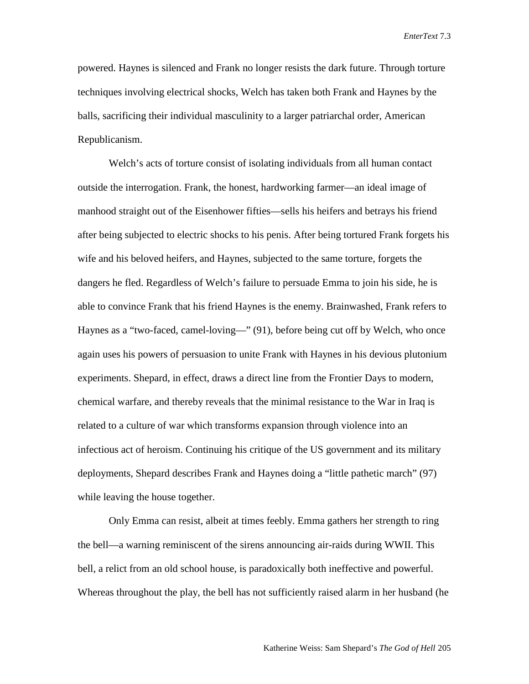powered. Haynes is silenced and Frank no longer resists the dark future. Through torture techniques involving electrical shocks, Welch has taken both Frank and Haynes by the balls, sacrificing their individual masculinity to a larger patriarchal order, American Republicanism.

Welch's acts of torture consist of isolating individuals from all human contact outside the interrogation. Frank, the honest, hardworking farmer—an ideal image of manhood straight out of the Eisenhower fifties—sells his heifers and betrays his friend after being subjected to electric shocks to his penis. After being tortured Frank forgets his wife and his beloved heifers, and Haynes, subjected to the same torture, forgets the dangers he fled. Regardless of Welch's failure to persuade Emma to join his side, he is able to convince Frank that his friend Haynes is the enemy. Brainwashed, Frank refers to Haynes as a "two-faced, camel-loving—" (91), before being cut off by Welch, who once again uses his powers of persuasion to unite Frank with Haynes in his devious plutonium experiments. Shepard, in effect, draws a direct line from the Frontier Days to modern, chemical warfare, and thereby reveals that the minimal resistance to the War in Iraq is related to a culture of war which transforms expansion through violence into an infectious act of heroism. Continuing his critique of the US government and its military deployments, Shepard describes Frank and Haynes doing a "little pathetic march" (97) while leaving the house together.

Only Emma can resist, albeit at times feebly. Emma gathers her strength to ring the bell—a warning reminiscent of the sirens announcing air-raids during WWII. This bell, a relict from an old school house, is paradoxically both ineffective and powerful. Whereas throughout the play, the bell has not sufficiently raised alarm in her husband (he